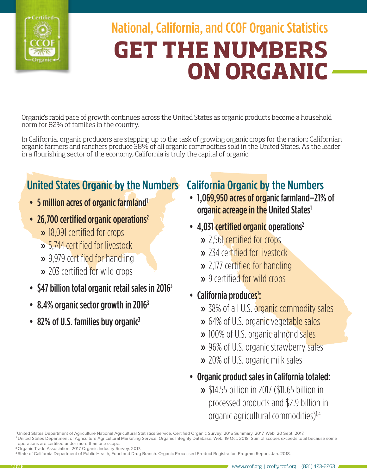

# National, California, and CCOF Organic Statistics **GET THE NUMBERS ON ORGANIC**

Organic's rapid pace of growth continues across the United States as organic products become a household norm for 82% of families in the country.

In California, organic producers are stepping up to the task of growing organic crops for the nation; Californian organic farmers and ranchers produce 38% of all organic commodities sold in the United States. As the leader in a flourishing sector of the economy, California is truly the capital of organic.

# United States Organic by the Numbers

- 5 million acres of organic farmland<sup>1</sup>
- 26,700 certified organic operations<sup>2</sup>
	- » 18,091 certified for crops
	- » 5,744 certified for livestock
	- » 9,979 certified for handling
	- » 203 certified for wild crops
- $$47$  billion total organic retail sales in 2016<sup>3</sup>
- 8.4% organic sector growth in 2016<sup>3</sup>
- 82% of U.S. families buy organic<sup>3</sup>

### California Organic by the Numbers

- 1,069,950 acres of organic farmland–21% of organic acreage in the United States<sup>1</sup>
- 4,031 certified organic operations<sup>2</sup>
	- » 2,561 certified for crops
	- » 234 certified for livestock
	- » 2,177 certified for handling
	- » 9 certified for wild crops
- California produces<sup>1</sup>:
	- » 38% of all U.S. organic commodity sales
	- » 64% of U.S. organic vegetable sales
	- » 100% of U.S. organic almond sales
	- » 96% of U.S. organic strawberry sales
	- » 20% of U.S. organic milk sales
- Organic product sales in California totaled:
	- » \$14.55 billion in 2017 (\$11.65 billion in processed products and \$2.9 billion in organic agricultural commodities)1,4

<sup>1</sup> United States Department of Agriculture National Agricultural Statistics Service. Certified Organic Survey: 2016 Summary. 2017. Web. 20 Sept. 2017. 2 United States Department of Agriculture Agricultural Marketing Service. Organic Integrity Database. Web. 19 Oct. 2018. Sum of scopes exceeds total because some operations are certified under more than one scope.

<sup>&</sup>lt;sup>3</sup> Organic Trade Association. 2017 Organic Industry Survey. 2017.

<sup>4</sup> State of California Department of Public Health, Food and Drug Branch. Organic Processed Product Registration Program Report. Jan. 2018.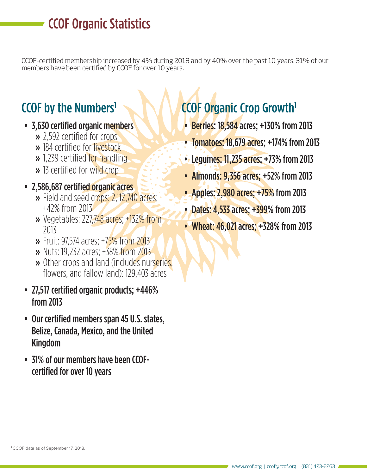## CCOF Organic Statistics

CCOF-certified membership increased by 4% during 2018 and by 40% over the past 10 years. 31% of our members have been certified by CCOF for over 10 years.

### **CCOF by the Numbers<sup>1</sup>**

- 3,630 certified organic members
	- » 2,592 certified for crops
	- » 184 certified for livestock
	- » 1,239 certified for handling
	- » 13 certified for wild crop
- 2,586,687 certified organic acres
	- » Field and seed crops: 2,112,740 acres; +42% from 2013
	- » Vegetables: 227,748 acres; +132% from 2013
	- » Fruit: 97,574 acres; +75% from 2013
	- » Nuts: 19,232 acres; +38% from 2013
	- » Other crops and land (includes nurseries, flowers, and fallow land): 129,403 acres
- 27,517 certified organic products; +446% from 2013
- Our certified members span 45 U.S. states, Belize, Canada, Mexico, and the United Kingdom
- 31% of our members have been CCOFcertified for over 10 years

# CCOF Organic Crop Growth1

- **Berries: 18,584 acres; +130% from 2013**
- Tomatoes: 18,679 acres; +174% from 2013
- Legumes: 11,235 acres; +73% from 2013
- Almonds: 9,356 acres; +52% from 2013
- Apples: 2,980 acres; +75% from 2013
- Dates: 4,533 acres; +399% from 2013
- Wheat: 46,021 acres; +328% from 2013